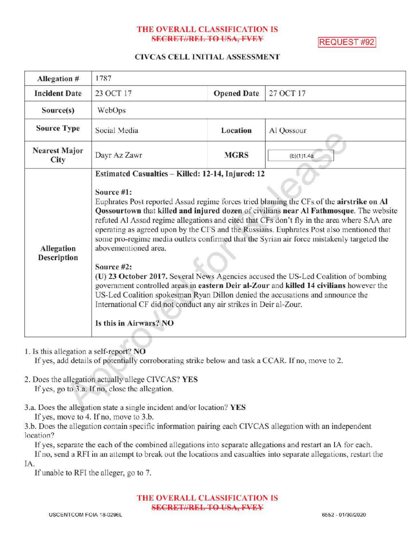## THE OVERALL CLASSIFICATION IS SECRET//REL TO USA, FVEY REQUEST #92

### CIVCAS CELL INITIAL ASSESSMENT

| Allegation #                 | 1787                                                                                                                                                                                                                                                                                                                                                                                                                                                                                                                                                                                                                                                                                                                                                                                                                                                                                                                                                 |                    |            |
|------------------------------|------------------------------------------------------------------------------------------------------------------------------------------------------------------------------------------------------------------------------------------------------------------------------------------------------------------------------------------------------------------------------------------------------------------------------------------------------------------------------------------------------------------------------------------------------------------------------------------------------------------------------------------------------------------------------------------------------------------------------------------------------------------------------------------------------------------------------------------------------------------------------------------------------------------------------------------------------|--------------------|------------|
| <b>Incident Date</b>         | 23 OCT 17                                                                                                                                                                                                                                                                                                                                                                                                                                                                                                                                                                                                                                                                                                                                                                                                                                                                                                                                            | <b>Opened Date</b> | 27 OCT 17  |
| Source(s)                    | WebOps                                                                                                                                                                                                                                                                                                                                                                                                                                                                                                                                                                                                                                                                                                                                                                                                                                                                                                                                               |                    |            |
| <b>Source Type</b>           | Social Media                                                                                                                                                                                                                                                                                                                                                                                                                                                                                                                                                                                                                                                                                                                                                                                                                                                                                                                                         | Location           | Al Qossour |
| <b>Nearest Major</b><br>City | Dayr Az Zawr                                                                                                                                                                                                                                                                                                                                                                                                                                                                                                                                                                                                                                                                                                                                                                                                                                                                                                                                         | <b>MGRS</b>        | (b)(1)1.4a |
| Allegation<br>Description    | Estimated Casualties - Killed: 12-14, Injured: 12<br>Source #1:<br>Euphrates Post reported Assad regime forces tried blaming the CFs of the airstrike on Al<br>Qossourtown that killed and injured dozen of civilians near Al Fathmosque. The website<br>refuted Al Assad regime allegations and cited that CFs don't fly in the area where SAA are<br>operating as agreed upon by the CFS and the Russians. Euphrates Post also mentioned that<br>some pro-regime media outlets confirmed that the Syrian air force mistakenly targeted the<br>abovementioned area.<br>Source #2:<br>(U) 23 October 2017. Several News Agencies accused the US-Led Coalition of bombing<br>government controlled areas in eastern Deir al-Zour and killed 14 civilians however the<br>US-Led Coalition spokesman Ryan Dillon denied the accusations and announce the<br>International CF did not conduct any air strikes in Deir al-Zour.<br>Is this in Airwars? NO |                    |            |

1. Isthis allegation a self-report? NO

If yes, add details of potentially corroborating strike below and task a CCAR. If no, move to 2.

- 2. Does the allegation actually allege CIVCAS? YES If yes, go to 3.a. If no, close the allegation.
- 3.a. Does the allegation state a single incident and/or location? YES

If yes, move to 4. If no, move to 3.b. 3.b. Does the allegation contain specific information pairing each CIVCAS allegation with an independent

location?

If yes, separate the each of the combined allegations into separate allegations and restart an IA for each. If no, send a RFI in an attempt to break out the locations and casualties into separate allegations, restart the IA.

If unable to RFI the alleger, go to 7.

THE OVERALL CLASSIFICATION IS SECRETI/REL TO USA, FVEY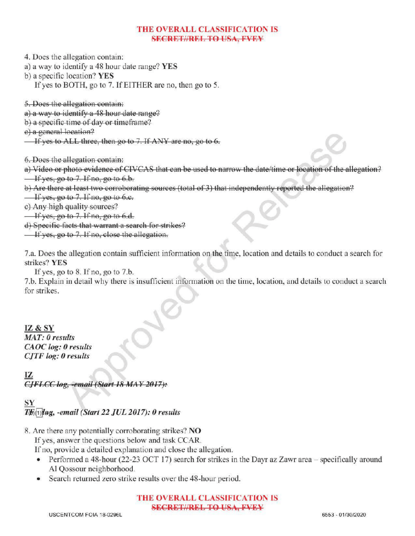### THE OVERALL CLASSIFICATION IS **SECRET//REL TO USA, FVEY**

4. Does the allegation contain:

- a) <sup>a</sup> way to identify <sup>a</sup> 48 hour date range? YES
- b) a specific location? YES
	- Ifyes to BOTH, go to 7. IfEITHERare no, then go to 5.

5. Does the allegation contain:

- a) a way to identify a 48 hour date range?
- b) a specific time of day or timeframe?

e) a general location?

If yes to ALL three, then go to 7. If ANY are no, go to  $6$ .

6. Does the allegation contain :

a) Video or photo evidence of CIVCAS that can be used to narrow the date/time or location of the allegation?  $\frac{1}{1}$  If yes, go to 7. If no, go to 6.b.

b) Are there at least two corroborating sources (total of 3) that independently reported the allegation?

- $\frac{1}{\sqrt{1 + \frac{1}{\sqrt{1 + \frac{1}{\sqrt{1 + \frac{1}{\sqrt{1 + \frac{1}{\sqrt{1 + \frac{1}{\sqrt{1 + \frac{1}{\sqrt{1 + \frac{1}{\sqrt{1 + \frac{1}{\sqrt{1 + \frac{1}{\sqrt{1 + \frac{1}{\sqrt{1 + \frac{1}{\sqrt{1 + \frac{1}{\sqrt{1 + \frac{1}{\sqrt{1 + \frac{1}{\sqrt{1 + \frac{1}{\sqrt{1 + \frac{1}{\sqrt{1 + \frac{1}{\sqrt{1 + \frac{1}{\sqrt{1 + \frac{1}{\sqrt{1 + \frac{1}{\sqrt{1 + \frac{1}{\sqrt{1 +$
- c) Any high quality sources?

 $\frac{1}{2}$  If yes, go to 7. If no, go to 6.d.

) Specific facts that warrant <sup>a</sup> search for strikes?

 $\overline{\phantom{a}}$  If yes, go to 7. If no, close the allegation.

7.a. Does the allegation contain sufficient information on the time, location and details to conduct a search for strikes? YES

If yes, go to  $8$ . If no, go to  $7.b$ .

7.b. Explain in detail why there is insufficient information on the time, location, and details to conduct <sup>a</sup> search for strikes.

### IZ & SY

MAT: 0 results CAOC log: 0 results  $CJTF log: 0$  results

# IZ

CJFLCC log, -email (Start 18 MAY 2017):

## SY

 $T\mathcal{F}_0(\cdot)$ lag, -email (Start 22 JUL 2017): 0 results

8. Are there any potentially corroborating strikes? NO

If yes, answer the questions below and task CCAR.

If no, provide a detailed explanation and close the allegation.

- Performed a 48-hour (22-23 OCT 17) search for strikes in the Dayr az Zawr area  $-$  specifically around Al Qossour neighborhood.
- Search returned zero strike results over the 48-hour period.

### THE OVERALL CLASSIFICATION IS SECRETI/REL TO USA, FVFY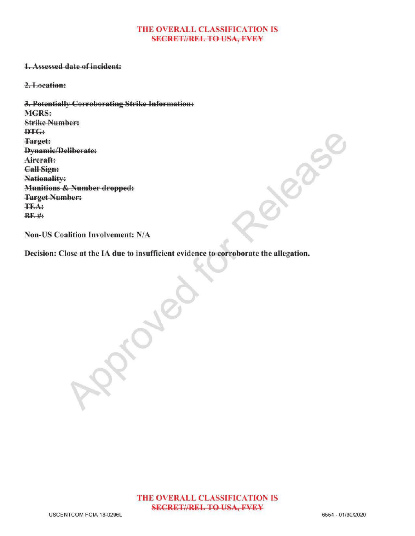#### THE OVERALL CLASSIFICATION IS **SECRET//REL TO USA, FVEY**

### 1.Assessed date of incident:

2.Location:

3. Potentially Corroborating Strike Information: MGRS: Strike Number: DTG: Target: Dynamic/Deliberate: Aircraft: Call Sign: Nationality: Munitions & Number dropped: Target Number: TEA:  $BF$ #

Non-US Coalition Involvement: N/A

Decision: Close at the IA due to insufficient evidence to corroborate the allegation.

 $\mathcal{S}_{\infty}$ 

Release